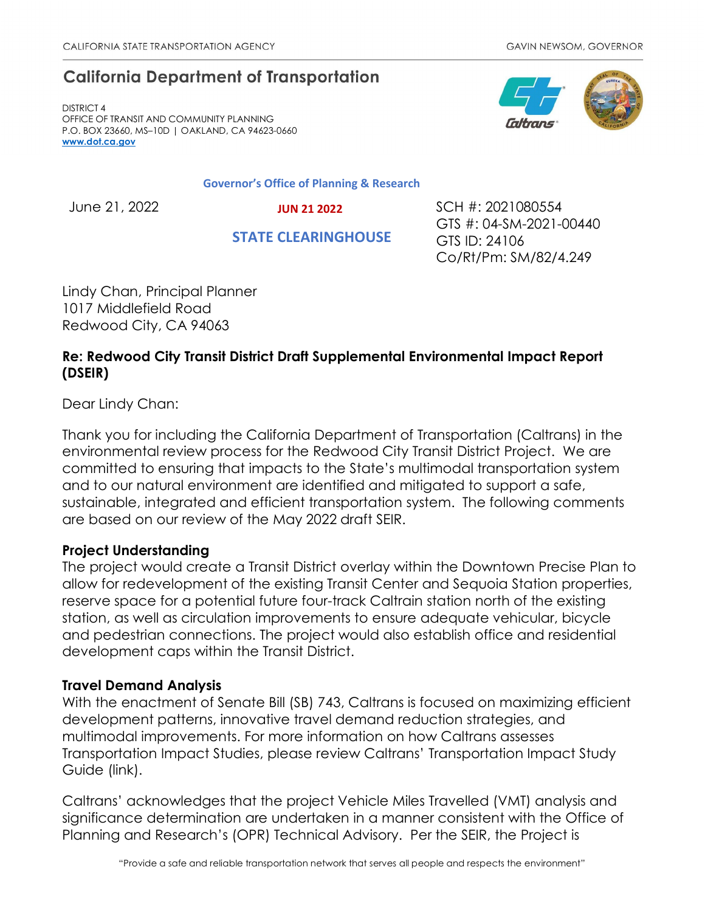# **California Department of Transportation**

DISTRICT 4 OFFICE OF TRANSIT AND COMMUNITY PLANNING P.O. BOX 23660, MS–10D | OAKLAND, CA 94623-0660 **[www.dot.ca.gov](http://www.dot.ca.gov/)**

#### **Governor's Office of Planning & Research**

 **JUN 21 2022**

 **STATE CLEARINGHOUSE**

June 21, 2022 SCH #: 2021080554 GTS #: 04-SM-2021-00440 GTS ID: 24106 Co/Rt/Pm: SM/82/4.249

Lindy Chan, Principal Planner 1017 Middlefield Road Redwood City, CA 94063

# **Re: Redwood City Transit District Draft Supplemental Environmental Impact Report (DSEIR)**

Dear Lindy Chan:

Thank you for including the California Department of Transportation (Caltrans) in the environmental review process for the Redwood City Transit District Project. We are committed to ensuring that impacts to the State's multimodal transportation system and to our natural environment are identified and mitigated to support a safe, sustainable, integrated and efficient transportation system. The following comments are based on our review of the May 2022 draft SEIR.

### **Project Understanding**

The project would create a Transit District overlay within the Downtown Precise Plan to allow for redevelopment of the existing Transit Center and Sequoia Station properties, reserve space for a potential future four-track Caltrain station north of the existing station, as well as circulation improvements to ensure adequate vehicular, bicycle and pedestrian connections. The project would also establish office and residential development caps within the Transit District.

## **Travel Demand Analysis**

With the enactment of Senate Bill (SB) 743, Caltrans is focused on maximizing efficient development patterns, innovative travel demand reduction strategies, and multimodal improvements. For more information on how Caltrans assesses Transportation Impact Studies, please review Caltrans' Transportation Impact Study Guide (link).

Caltrans' acknowledges that the project Vehicle Miles Travelled (VMT) analysis and significance determination are undertaken in a manner consistent with the Office of Planning and Research's (OPR) Technical Advisory. Per the SEIR, the Project is